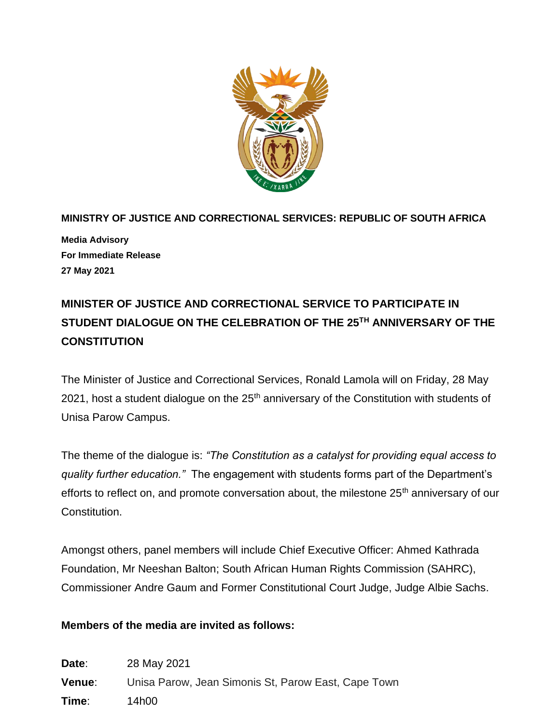

**MINISTRY OF JUSTICE AND CORRECTIONAL SERVICES: REPUBLIC OF SOUTH AFRICA Media Advisory For Immediate Release 27 May 2021**

## **MINISTER OF JUSTICE AND CORRECTIONAL SERVICE TO PARTICIPATE IN STUDENT DIALOGUE ON THE CELEBRATION OF THE 25TH ANNIVERSARY OF THE CONSTITUTION**

The Minister of Justice and Correctional Services, Ronald Lamola will on Friday, 28 May 2021, host a student dialogue on the 25<sup>th</sup> anniversary of the Constitution with students of Unisa Parow Campus.

The theme of the dialogue is: *"The Constitution as a catalyst for providing equal access to quality further education."* The engagement with students forms part of the Department's efforts to reflect on, and promote conversation about, the milestone 25<sup>th</sup> anniversary of our Constitution.

Amongst others, panel members will include Chief Executive Officer: Ahmed Kathrada Foundation, Mr Neeshan Balton; South African Human Rights Commission (SAHRC), Commissioner Andre Gaum and Former Constitutional Court Judge, Judge Albie Sachs.

## **Members of the media are invited as follows:**

**Date**: 28 May 2021 **Venue**: Unisa Parow, Jean Simonis St, Parow East, Cape Town **Time**: 14h00